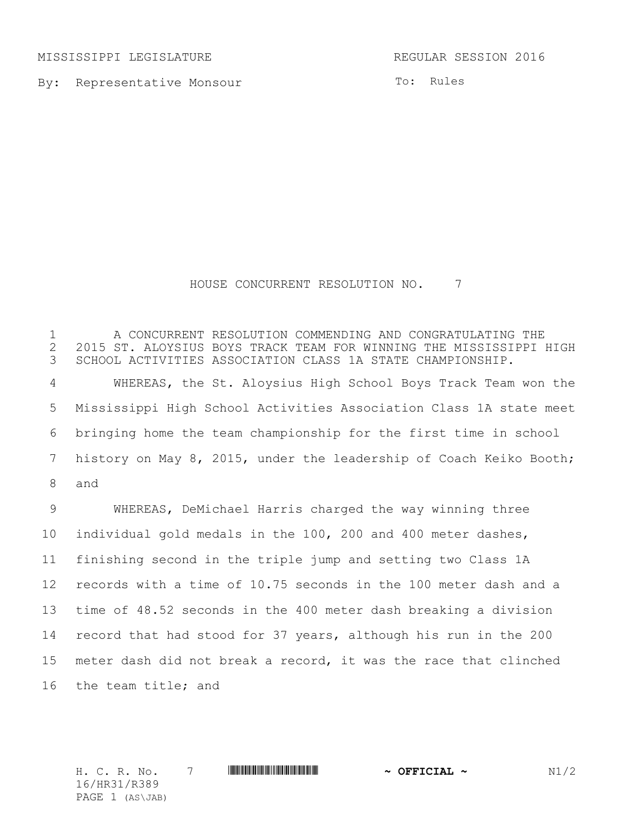MISSISSIPPI LEGISLATURE REGULAR SESSION 2016

By: Representative Monsour

To: Rules

## HOUSE CONCURRENT RESOLUTION NO. 7

 A CONCURRENT RESOLUTION COMMENDING AND CONGRATULATING THE 2 2015 ST. ALOYSIUS BOYS TRACK TEAM FOR WINNING THE MISSISSIPPI HIGH<br>3 SCHOOL ACTIVITIES ASSOCIATION CLASS 1A STATE CHAMPIONSHIP. SCHOOL ACTIVITIES ASSOCIATION CLASS 1A STATE CHAMPIONSHIP. WHEREAS, the St. Aloysius High School Boys Track Team won the Mississippi High School Activities Association Class 1A state meet bringing home the team championship for the first time in school history on May 8, 2015, under the leadership of Coach Keiko Booth; and WHEREAS, DeMichael Harris charged the way winning three individual gold medals in the 100, 200 and 400 meter dashes, finishing second in the triple jump and setting two Class 1A records with a time of 10.75 seconds in the 100 meter dash and a time of 48.52 seconds in the 400 meter dash breaking a division record that had stood for 37 years, although his run in the 200 meter dash did not break a record, it was the race that clinched

the team title; and

H. C. R. No. 7 \*HR31/R389\* **~ OFFICIAL ~** N1/2 16/HR31/R389 PAGE 1 (AS\JAB)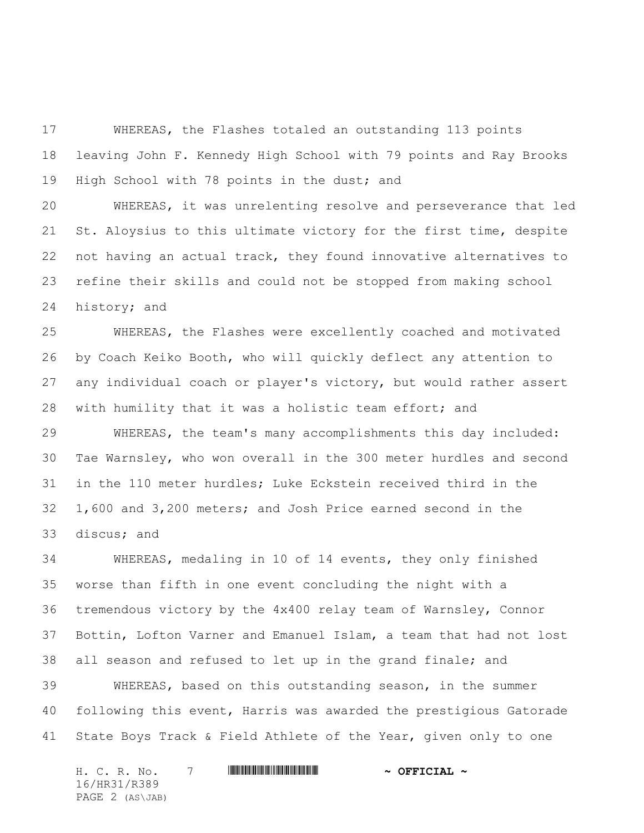WHEREAS, the Flashes totaled an outstanding 113 points leaving John F. Kennedy High School with 79 points and Ray Brooks High School with 78 points in the dust; and

 WHEREAS, it was unrelenting resolve and perseverance that led St. Aloysius to this ultimate victory for the first time, despite not having an actual track, they found innovative alternatives to refine their skills and could not be stopped from making school history; and

 WHEREAS, the Flashes were excellently coached and motivated by Coach Keiko Booth, who will quickly deflect any attention to any individual coach or player's victory, but would rather assert with humility that it was a holistic team effort; and

 WHEREAS, the team's many accomplishments this day included: Tae Warnsley, who won overall in the 300 meter hurdles and second in the 110 meter hurdles; Luke Eckstein received third in the 1,600 and 3,200 meters; and Josh Price earned second in the discus; and

 WHEREAS, medaling in 10 of 14 events, they only finished worse than fifth in one event concluding the night with a tremendous victory by the 4x400 relay team of Warnsley, Connor Bottin, Lofton Varner and Emanuel Islam, a team that had not lost all season and refused to let up in the grand finale; and

 WHEREAS, based on this outstanding season, in the summer following this event, Harris was awarded the prestigious Gatorade State Boys Track & Field Athlete of the Year, given only to one

H. C. R. No. 7 \*HR31/R389\* **~ OFFICIAL ~** 16/HR31/R389 PAGE 2 (AS\JAB)